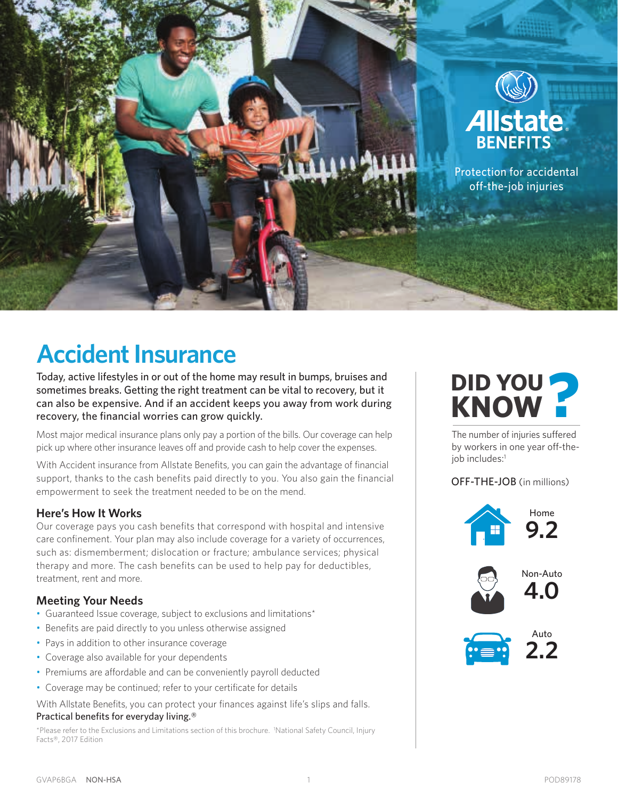

## **Accident Insurance**

Today, active lifestyles in or out of the home may result in bumps, bruises and sometimes breaks. Getting the right treatment can be vital to recovery, but it can also be expensive. And if an accident keeps you away from work during recovery, the financial worries can grow quickly.

Most major medical insurance plans only pay a portion of the bills. Our coverage can help pick up where other insurance leaves off and provide cash to help cover the expenses.

With Accident insurance from Allstate Benefits, you can gain the advantage of financial support, thanks to the cash benefits paid directly to you. You also gain the financial empowerment to seek the treatment needed to be on the mend.

#### **Here's How It Works**

Our coverage pays you cash benefits that correspond with hospital and intensive care confinement. Your plan may also include coverage for a variety of occurrences, such as: dismemberment; dislocation or fracture; ambulance services; physical therapy and more. The cash benefits can be used to help pay for deductibles, treatment, rent and more.

#### **Meeting Your Needs**

- Guaranteed Issue coverage, subject to exclusions and limitations\*
- Benefits are paid directly to you unless otherwise assigned
- Pays in addition to other insurance coverage
- Coverage also available for your dependents
- Premiums are affordable and can be conveniently payroll deducted
- Coverage may be continued; refer to your certificate for details

With Allstate Benefits, you can protect your finances against life's slips and falls. Practical benefits for everyday living.®

\*Please refer to the Exclusions and Limitations section of this brochure. 1 National Safety Council, Injury Facts®, 2017 Edition

# **DID YOU KNOW ?**

The number of injuries suffered by workers in one year off-theiob includes:<sup>1</sup>

#### OFF-THE-JOB (in millions)

![](_page_0_Picture_19.jpeg)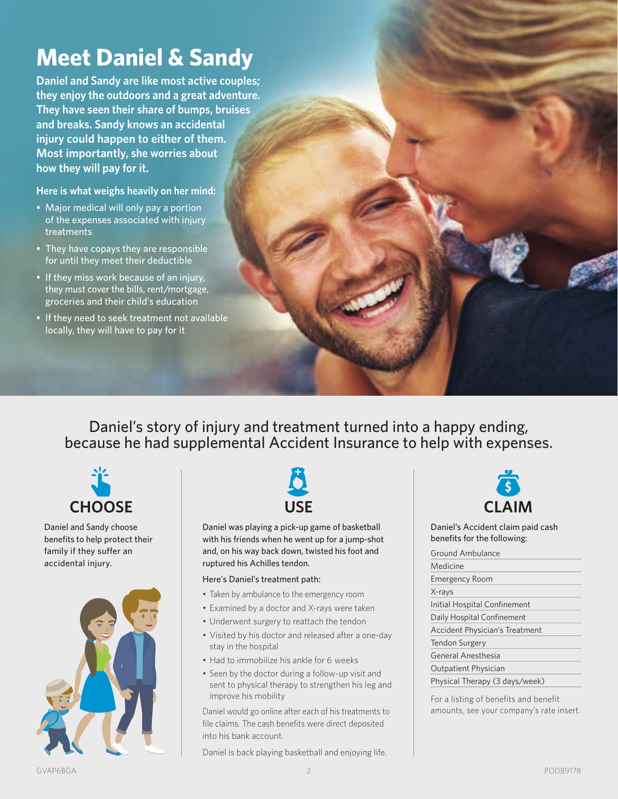## **Meet Daniel & Sandy**

**Daniel and Sandy are like most active couples; they enjoy the outdoors and a great adventure. They have seen their share of bumps, bruises and breaks. Sandy knows an accidental injury could happen to either of them. Most importantly, she worries about how they will pay for it.**

**Here is what weighs heavily on her mind:**

- Major medical will only pay a portion of the expenses associated with injury treatments
- They have copays they are responsible for until they meet their deductible
- If they miss work because of an injury, they must cover the bills, rent/mortgage, groceries and their child's education
- If they need to seek treatment not available locally, they will have to pay for it

Daniel's story of injury and treatment turned into a happy ending, because he had supplemental Accident Insurance to help with expenses.

![](_page_1_Picture_8.jpeg)

Daniel and Sandy choose benefits to help protect their family if they suffer an accidental injury.

![](_page_1_Picture_10.jpeg)

![](_page_1_Picture_11.jpeg)

Daniel was playing a pick-up game of basketball with his friends when he went up for a jump-shot and, on his way back down, twisted his foot and ruptured his Achilles tendon.

#### Here's Daniel's treatment path:

- Taken by ambulance to the emergency room
- Examined by a doctor and X-rays were taken
- Underwent surgery to reattach the tendon
- Visited by his doctor and released after a one-day stay in the hospital
- Had to immobilize his ankle for 6 weeks
- Seen by the doctor during a follow-up visit and sent to physical therapy to strengthen his leg and improve his mobility

Daniel would go online after each of his treatments to file claims. The cash benefits were direct deposited into his bank account.

Daniel is back playing basketball and enjoying life.

![](_page_1_Picture_22.jpeg)

Daniel's Accident claim paid cash benefits for the following:

| Ground Ambulance                      |
|---------------------------------------|
| Medicine                              |
| <b>Emergency Room</b>                 |
| X-rays                                |
| Initial Hospital Confinement          |
| Daily Hospital Confinement            |
| <b>Accident Physician's Treatment</b> |
| Tendon Surgery                        |
| General Anesthesia                    |
| <b>Outpatient Physician</b>           |
| Physical Therapy (3 days/week)        |

For a listing of benefits and benefit amounts, see your company's rate insert.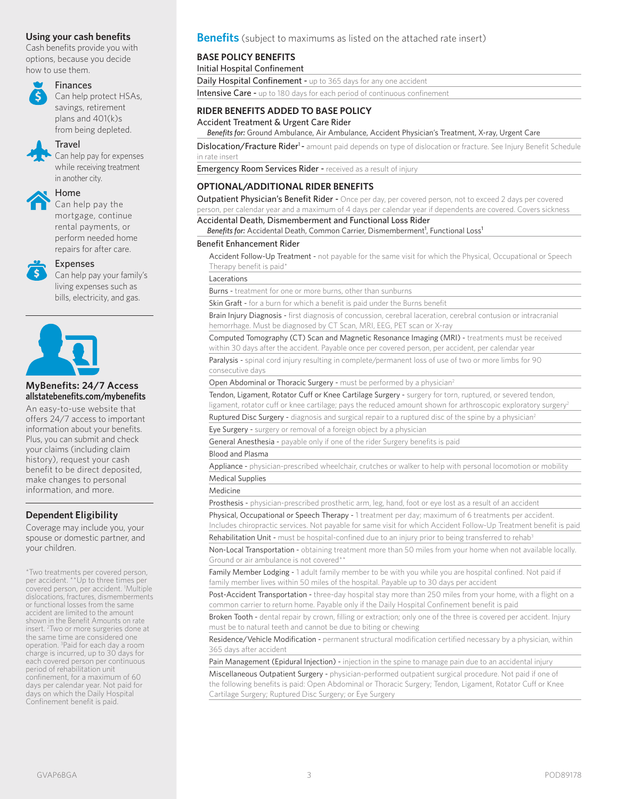Cash benefits provide you with options, because you decide how to use them.

![](_page_2_Picture_2.jpeg)

#### Finances

Can help protect HSAs, savings, retirement plans and 401(k)s from being depleted.

#### Travel

Can help pay for expenses while receiving treatment in another city.

#### Home

Can help pay the mortgage, continue rental payments, or perform needed home repairs for after care.

![](_page_2_Picture_9.jpeg)

#### Expenses

Can help pay your family's living expenses such as bills, electricity, and gas.

![](_page_2_Picture_12.jpeg)

#### **MyBenefits: 24/7 Access allstatebenefits.com/mybenefits**

An easy-to-use website that offers 24/7 access to important information about your benefits. Plus, you can submit and check your claims (including claim history), request your cash benefit to be direct deposited, make changes to personal information, and more.

#### **Dependent Eligibility**

Coverage may include you, your spouse or domestic partner, and your children.

\*Two treatments per covered person, per accident. \*\*Up to three times per covered person, per accident. 1 Multiple dislocations, fractures, dismemberments or functional losses from the same accident are limited to the amount shown in the Benefit Amounts on rate insert. <sup>2</sup> Two or more surgeries done at the same time are considered one operation. 3 Paid for each day a room charge is incurred, up to 30 days for each covered person per continuous period of rehabilitation unit confinement, for a maximum of 60 days per calendar year. Not paid for days on which the Daily Hospital Confinement benefit is paid.

#### **Using your cash benefits Benefits** (subject to maximums as listed on the attached rate insert)

#### **BASE POLICY BENEFITS**

Initial Hospital Confinement

Daily Hospital Confinement - up to 365 days for any one accident Intensive Care - up to 180 days for each period of continuous confinement

#### **RIDER BENEFITS ADDED TO BASE POLICY**

Accident Treatment & Urgent Care Rider

^ *Benefits for:* Ground Ambulance, Air Ambulance, Accident Physician's Treatment, X-ray, Urgent Care

Dislocation/Fracture Rider<sup>1</sup> - amount paid depends on type of dislocation or fracture. See Injury Benefit Schedule in rate insert

Emergency Room Services Rider - received as a result of injury

#### **OPTIONAL/ADDITIONAL RIDER BENEFITS**

Outpatient Physician's Benefit Rider - Once per day, per covered person, not to exceed 2 days per covered person, per calendar year and a maximum of 4 days per calendar year if dependents are covered. Covers sickness

#### Accidental Death, Dismemberment and Functional Loss Rider

Benefits for: Accidental Death, Common Carrier, Dismemberment<sup>1</sup>, Functional Loss<sup>1</sup>

#### Benefit Enhancement Rider

Accident Follow-Up Treatment - not payable for the same visit for which the Physical, Occupational or Speech Therapy benefit is paid\*

**Lacerations** 

Burns - treatment for one or more burns, other than sunburns

Skin Graft - for a burn for which a benefit is paid under the Burns benefit

Brain Injury Diagnosis - first diagnosis of concussion, cerebral laceration, cerebral contusion or intracranial hemorrhage. Must be diagnosed by CT Scan, MRI, EEG, PET scan or X-ray

Computed Tomography (CT) Scan and Magnetic Resonance Imaging (MRI) - treatments must be received within 30 days after the accident. Payable once per covered person, per accident, per calendar year

Paralysis - spinal cord injury resulting in complete/permanent loss of use of two or more limbs for 90 consecutive days

Open Abdominal or Thoracic Surgery - must be performed by a physician<sup>2</sup>

Tendon, Ligament, Rotator Cuff or Knee Cartilage Surgery - surgery for torn, ruptured, or severed tendon, ligament, rotator cuff or knee cartilage; pays the reduced amount shown for arthroscopic exploratory surgery<sup>2</sup>

Ruptured Disc Surgery - diagnosis and surgical repair to a ruptured disc of the spine by a physician<sup>2</sup>

Eye Surgery - surgery or removal of a foreign object by a physician

General Anesthesia - payable only if one of the rider Surgery benefits is paid

#### Blood and Plasma

Appliance - physician-prescribed wheelchair, crutches or walker to help with personal locomotion or mobility Medical Supplies

#### Medicine

Prosthesis - physician-prescribed prosthetic arm, leg, hand, foot or eye lost as a result of an accident

Physical, Occupational or Speech Therapy - 1 treatment per day; maximum of 6 treatments per accident. Includes chiropractic services. Not payable for same visit for which Accident Follow-Up Treatment benefit is paid

Rehabilitation Unit - must be hospital-confined due to an injury prior to being transferred to rehab<sup>3</sup>

Non-Local Transportation - obtaining treatment more than 50 miles from your home when not available locally. Ground or air ambulance is not covered\*\*

Family Member Lodging - 1 adult family member to be with you while you are hospital confined. Not paid if family member lives within 50 miles of the hospital. Payable up to 30 days per accident

Post-Accident Transportation - three-day hospital stay more than 250 miles from your home, with a flight on a common carrier to return home. Payable only if the Daily Hospital Confinement benefit is paid

Broken Tooth - dental repair by crown, filling or extraction; only one of the three is covered per accident. Injury must be to natural teeth and cannot be due to biting or chewing

Residence/Vehicle Modification - permanent structural modification certified necessary by a physician, within 365 days after accident

Pain Management (Epidural Injection) - injection in the spine to manage pain due to an accidental injury

Miscellaneous Outpatient Surgery - physician-performed outpatient surgical procedure. Not paid if one of the following benefits is paid: Open Abdominal or Thoracic Surgery; Tendon, Ligament, Rotator Cuff or Knee Cartilage Surgery; Ruptured Disc Surgery; or Eye Surgery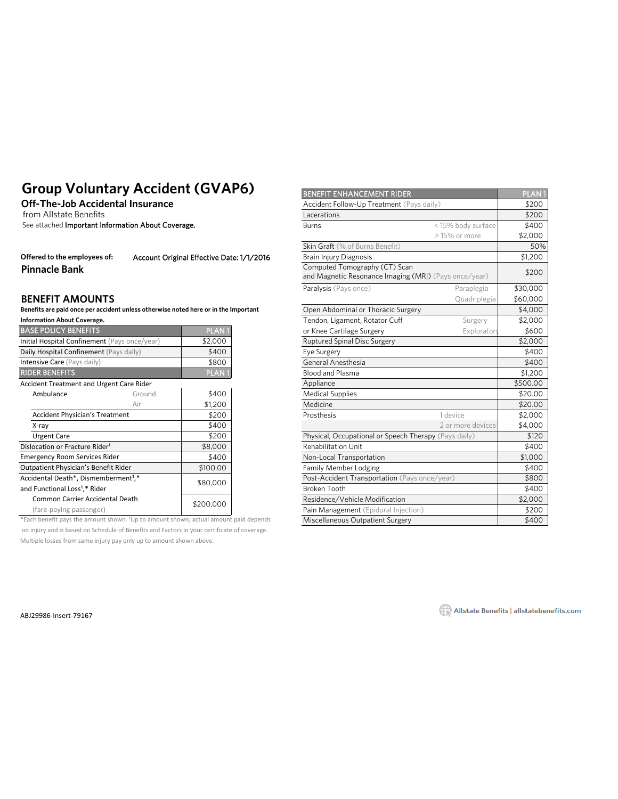### **Group Voluntary Accident (GVAP6)**

#### **BENEFIT AMOUNTS**

| <b>BASE POLICY BENEFITS</b>                      |           | <b>PLAN1</b>      |
|--------------------------------------------------|-----------|-------------------|
| Initial Hospital Confinement (Pays once/year)    | \$2,000   |                   |
| Daily Hospital Confinement (Pays daily)          | \$400     |                   |
| Intensive Care (Pays daily)                      | \$800     |                   |
| <b>RIDER BENEFITS</b>                            |           | PLAN <sup>®</sup> |
| Accident Treatment and Urgent Care Rider         |           |                   |
| Ambulance                                        | Ground    | \$400             |
|                                                  | Air       | \$1,200           |
| <b>Accident Physician's Treatment</b>            | \$200     |                   |
| X-ray                                            | \$400     |                   |
| <b>Urgent Care</b>                               | \$200     |                   |
| Dislocation or Fracture Rider <sup>1</sup>       | \$8,000   |                   |
| <b>Emergency Room Services Rider</b>             | \$400     |                   |
| Outpatient Physician's Benefit Rider             | \$100.00  |                   |
| Accidental Death*, Dismemberment <sup>1</sup> ,* | \$80,000  |                   |
| and Functional Loss <sup>1</sup> ,* Rider        |           |                   |
| Common Carrier Accidental Death                  |           |                   |
| (fare-paving passenger)                          | \$200,000 |                   |

\*Each benefit pays the amount shown. <sup>1</sup>Up to amount shown; actual amount paid depends Miscellaneous Outpatient Surgery \$400 on injury and is based on Schedule of Benefits and Factors in your certificate of coverage. Multiple losses from same injury pay only up to amount shown above.

| Group Voluntary Accident (GVAP6)                                                                    |        |                                           |                                           | <b>BENEFIT ENHANCEMENT RIDER</b>                                                       |                   | <b>PLAN1</b> |
|-----------------------------------------------------------------------------------------------------|--------|-------------------------------------------|-------------------------------------------|----------------------------------------------------------------------------------------|-------------------|--------------|
| <b>Off-The-Job Accidental Insurance</b><br>from Allstate Benefits                                   |        |                                           | Accident Follow-Up Treatment (Pays daily) |                                                                                        | \$200             |              |
|                                                                                                     |        |                                           | Lacerations                               |                                                                                        | \$200             |              |
| See attached Important Information About Coverage.                                                  |        |                                           | <b>Burns</b>                              | < 15% body surface                                                                     | \$400             |              |
|                                                                                                     |        |                                           |                                           |                                                                                        | $>15\%$ or more   | \$2,000      |
|                                                                                                     |        |                                           |                                           | Skin Graft (% of Burns Benefit)                                                        |                   | 50%          |
| Offered to the employees of:                                                                        |        | Account Original Effective Date: 1/1/2016 |                                           | <b>Brain Injury Diagnosis</b>                                                          |                   | \$1,200      |
| <b>Pinnacle Bank</b>                                                                                |        |                                           |                                           | Computed Tomography (CT) Scan<br>and Magnetic Resonance Imaging (MRI) (Pays once/year) |                   | \$200        |
|                                                                                                     |        |                                           |                                           | Paralysis (Pays once)                                                                  | Paraplegia        | \$30,000     |
| <b>BENEFIT AMOUNTS</b>                                                                              |        |                                           |                                           |                                                                                        | Quadriplegia      | \$60,000     |
| Benefits are paid once per accident unless otherwise noted here or in the Important                 |        |                                           |                                           | Open Abdominal or Thoracic Surgery                                                     |                   | \$4,000      |
| <b>Information About Coverage.</b>                                                                  |        |                                           |                                           | Tendon, Ligament, Rotator Cuff                                                         | Surgery           | \$2,000      |
| <b>BASE POLICY BENEFITS</b>                                                                         |        | PLAN <sub>1</sub>                         |                                           | or Knee Cartilage Surgery                                                              | Explorator        | \$600        |
| Initial Hospital Confinement (Pays once/year)                                                       |        | \$2,000                                   |                                           | <b>Ruptured Spinal Disc Surgery</b>                                                    |                   | \$2,000      |
| Daily Hospital Confinement (Pays daily)                                                             |        | \$400                                     |                                           | Eye Surgery                                                                            |                   | \$400        |
| Intensive Care (Pays daily)                                                                         |        | \$800                                     |                                           | General Anesthesia                                                                     |                   | \$400        |
| <b>RIDER BENEFITS</b>                                                                               |        | <b>PLAN1</b>                              |                                           | <b>Blood and Plasma</b>                                                                |                   | \$1,200      |
| <b>Accident Treatment and Urgent Care Rider</b>                                                     |        |                                           |                                           | Appliance                                                                              |                   | \$500.00     |
| Ambulance                                                                                           | Ground | \$400                                     |                                           | <b>Medical Supplies</b>                                                                |                   | \$20.00      |
|                                                                                                     | Air    | \$1,200                                   |                                           | Medicine                                                                               |                   | \$20.00      |
| <b>Accident Physician's Treatment</b>                                                               |        | \$200                                     |                                           | Prosthesis                                                                             | 1 device          | \$2,000      |
| X-ray                                                                                               |        | \$400                                     |                                           |                                                                                        | 2 or more devices | \$4,000      |
| <b>Urgent Care</b>                                                                                  |        | \$200                                     |                                           | Physical, Occupational or Speech Therapy (Pays daily)                                  |                   | \$120        |
| Dislocation or Fracture Rider <sup>1</sup>                                                          |        | \$8,000                                   |                                           | <b>Rehabilitation Unit</b>                                                             |                   | \$400        |
| <b>Emergency Room Services Rider</b>                                                                |        | \$400                                     |                                           | Non-Local Transportation                                                               |                   | \$1,000      |
| Outpatient Physician's Benefit Rider                                                                |        | \$100.00                                  |                                           | Family Member Lodging                                                                  |                   | \$400        |
| Accidental Death*, Dismemberment <sup>1</sup> ,*                                                    |        | \$80,000                                  |                                           | Post-Accident Transportation (Pays once/year)                                          |                   | \$800        |
| and Functional Loss <sup>1</sup> ,* Rider                                                           |        |                                           |                                           | <b>Broken Tooth</b>                                                                    | \$400             |              |
| Common Carrier Accidental Death                                                                     |        | \$200,000                                 |                                           | Residence/Vehicle Modification                                                         |                   | \$2,000      |
| (fare-paying passenger)                                                                             |        |                                           |                                           | Pain Management (Epidural Injection)                                                   |                   | \$200        |
| $*$ Fach benefit pays the amount shown $\frac{1}{1}$ In to amount shown; actual amount paid depends |        |                                           |                                           | Miccallangeur Outpatient Curgosy                                                       |                   | 0.001        |

ABJ29986-Insert-79167 79167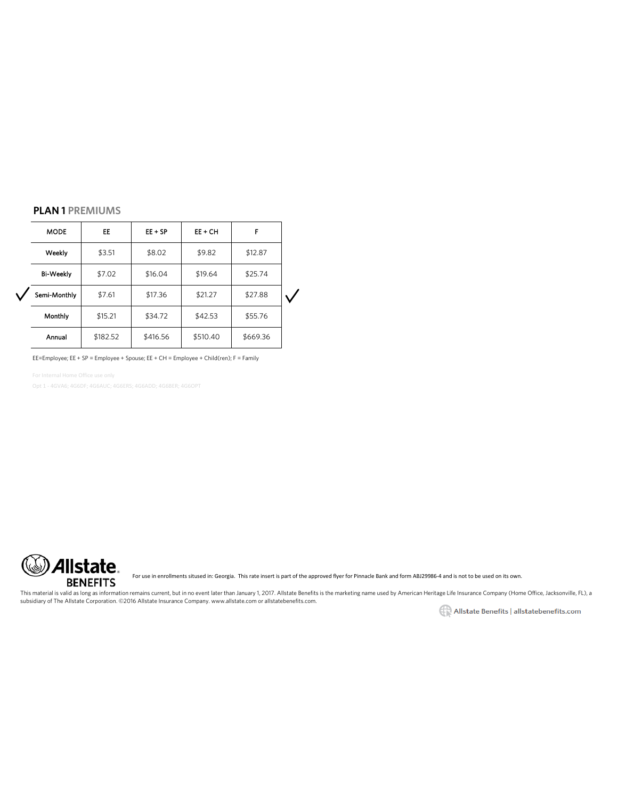#### **PLAN 1 PREMIUMS**

| <b>MODE</b>      | EE.      | $EE + SP$ | $EE + CH$ | F        |  |
|------------------|----------|-----------|-----------|----------|--|
| Weekly           | \$3.51   | \$8.02    | \$9.82    | \$12.87  |  |
| <b>Bi-Weekly</b> | \$7.02   | \$16.04   | \$19.64   | \$25.74  |  |
| Semi-Monthly     | \$7.61   | \$17.36   | \$21.27   | \$27.88  |  |
| Monthly          | \$15.21  | \$34.72   | \$42.53   | \$55.76  |  |
| Annual           | \$182.52 | \$416.56  | \$510.40  | \$669.36 |  |

EE=Employee; EE + SP = Employee + Spouse; EE + CH = Employee + Child(ren); F = Family

For Internal Home Office use only

Opt 1 - 4GVA6; 4G6DF; 4G6AUC; 4G6ERS; 4G6ADD; 4G6BER; 4G6OPT

![](_page_4_Picture_5.jpeg)

For use in enrollments sitused in: Georgia. This rate insert is part of the approved flyer for Pinnacle Bank and form ABJ29986-4 and is not to be used on its own.

This material is valid as long as information remains current, but in no event later than January 1, 2017. Allstate Benefits is the marketing name used by American Heritage Life Insurance Company (Home Office, Jacksonville subsidiary of The Allstate Corporation. ©2016 Allstate Insurance Company. www.allstate.com or allstatebenefits.com.

Allstate Benefits | allstatebenefits.com